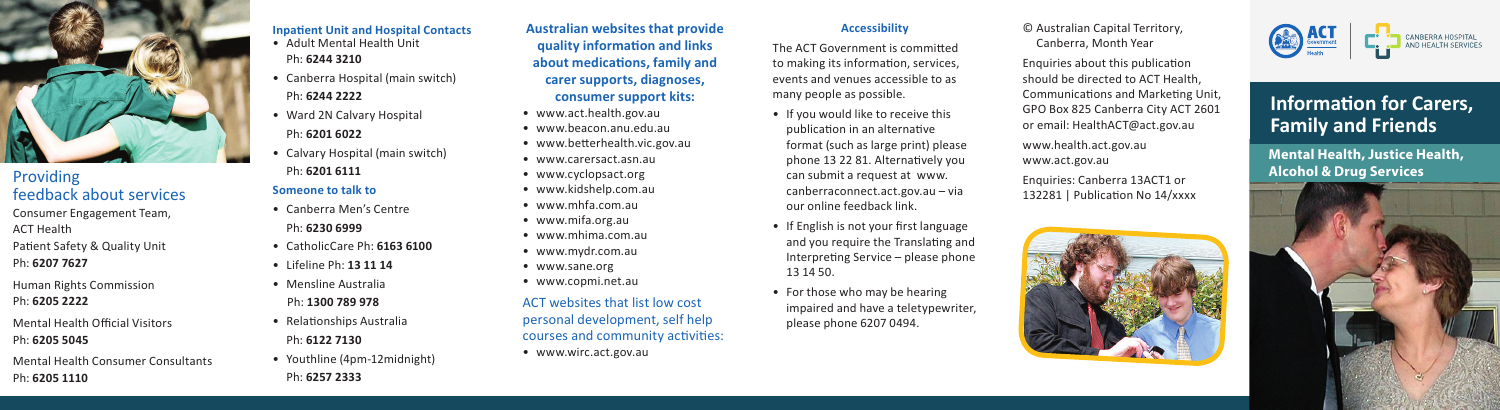

## Providing feedback about services Consumer Engagement Team, ACT Health Patient Safety & Quality Unit Ph: **6207 7627**

- Human Rights Commission Ph: **6205 2222**
- Mental Health Official Visitors Ph: **6205 5045**
- Mental Health Consumer Consultants Ph: **6205 1110**

#### **Inpatient Unit and Hospital Contacts**

- Adult Mental Health Unit Ph: **6244 3210**
- Canberra Hospital (main switch) Ph: **6244 2222**
- Ward 2N Calvary Hospital Ph: **6201 6022**
- Calvary Hospital (main switch) Ph: **6201 6111 Someone to talk to**
- Canberra Men's Centre Ph: **6230 6999**
- CatholicCare Ph: **6163 6100** • Lifeline Ph: **13 11 14**
- Mensline Australia Ph: **1300 789 978**
- Relationships Australia Ph: **6122 7130**
- Youthline (4pm-12midnight) Ph: **6257 2333**

**Australian websites that provide quality information and links about medications, family and carer supports, diagnoses, consumer support kits:**

- www.act.health.gov.au • www.beacon.anu.edu.au
- www.betterhealth.vic.gov.au
- www.carersact.asn.au
- www.cyclopsact.org
- www.kidshelp.com.au
- www.mhfa.com.au
- www.mifa.org.au
- www.mhima.com.au
- www.mydr.com.au
- www.sane.org
- www.copmi.net.au
- ACT websites that list low cost personal development, self help courses and community activities: • www.wirc.act.gov.au

#### **Accessibility**

The ACT Government is committed to making its information, services, events and venues accessible to as many people as possible.

- If you would like to receive this publication in an alternative format (such as large print) please phone 13 22 81. Alternatively you can submit a request at www. canberraconnect.act.gov.au – via our online feedback link.
- If English is not your first language and you require the Translating and Interpreting Service – please phone 13 14 50.
- For those who may be hearing impaired and have a teletypewriter, please phone 6207 0494.

© Australian Capital Territory, Canberra, Month Year

Enquiries about this publication should be directed to ACT Health, Communications and Marketing Unit, GPO Box 825 Canberra City ACT 2601 or email: HealthACT@act.gov.au www.health.act.gov.au www.act.gov.au

Enquiries: Canberra 13ACT1 or 132281 | Publication No 14/xxxx





# **Information for Carers, Family and Friends**

**Mental Health, Justice Health, Alcohol & Drug Services**